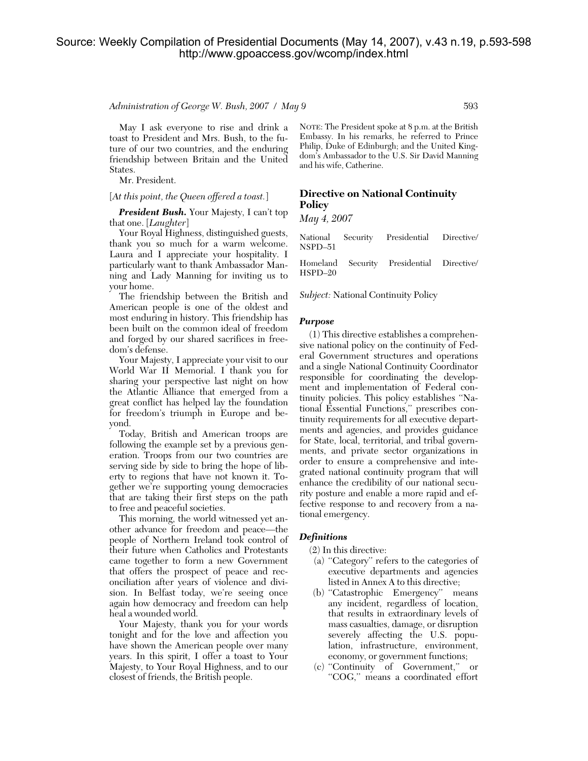*Administration of George W. Bush, 2007 / May 9* 593

May I ask everyone to rise and drink a toast to President and Mrs. Bush, to the future of our two countries, and the enduring friendship between Britain and the United States.

Mr. President.

[*At this point, the Queen offered a toast.*]

*President Bush.* Your Majesty, I can't top that one. [*Laughter*]

Your Royal Highness, distinguished guests, thank you so much for a warm welcome. Laura and I appreciate your hospitality. I particularly want to thank Ambassador Manning and Lady Manning for inviting us to your home.

The friendship between the British and American people is one of the oldest and most enduring in history. This friendship has been built on the common ideal of freedom and forged by our shared sacrifices in freedom's defense.

Your Majesty, I appreciate your visit to our World War II Memorial. I thank you for sharing your perspective last night on how the Atlantic Alliance that emerged from a great conflict has helped lay the foundation for freedom's triumph in Europe and beyond.

Today, British and American troops are following the example set by a previous generation. Troops from our two countries are serving side by side to bring the hope of liberty to regions that have not known it. Together we're supporting young democracies that are taking their first steps on the path to free and peaceful societies.

This morning, the world witnessed yet another advance for freedom and peace—the people of Northern Ireland took control of their future when Catholics and Protestants came together to form a new Government that offers the prospect of peace and reconciliation after years of violence and division. In Belfast today, we're seeing once again how democracy and freedom can help heal a wounded world.

Your Majesty, thank you for your words tonight and for the love and affection you have shown the American people over many years. In this spirit, I offer a toast to Your Majesty, to Your Royal Highness, and to our closest of friends, the British people.

NOTE: The President spoke at 8 p.m. at the British Embassy. In his remarks, he referred to Prince Philip, Duke of Edinburgh; and the United Kingdom's Ambassador to the U.S. Sir David Manning and his wife, Catherine.

# **Directive on National Continuity Policy**

*May 4, 2007* 

National Security Presidential Directive/ NSPD–51

Homeland Security Presidential Directive/ HSPD–20

*Subject:* National Continuity Policy

### *Purpose*

(1) This directive establishes a comprehensive national policy on the continuity of Federal Government structures and operations and a single National Continuity Coordinator responsible for coordinating the development and implementation of Federal continuity policies. This policy establishes ''National Essential Functions,'' prescribes continuity requirements for all executive departments and agencies, and provides guidance for State, local, territorial, and tribal governments, and private sector organizations in order to ensure a comprehensive and integrated national continuity program that will enhance the credibility of our national security posture and enable a more rapid and effective response to and recovery from a national emergency.

### *Definitions*

- (2) In this directive:
- (a) ''Category'' refers to the categories of executive departments and agencies listed in Annex A to this directive;
- (b) ''Catastrophic Emergency'' means any incident, regardless of location, that results in extraordinary levels of mass casualties, damage, or disruption severely affecting the U.S. population, infrastructure, environment, economy, or government functions;
- (c) ''Continuity of Government,'' or ''COG,'' means a coordinated effort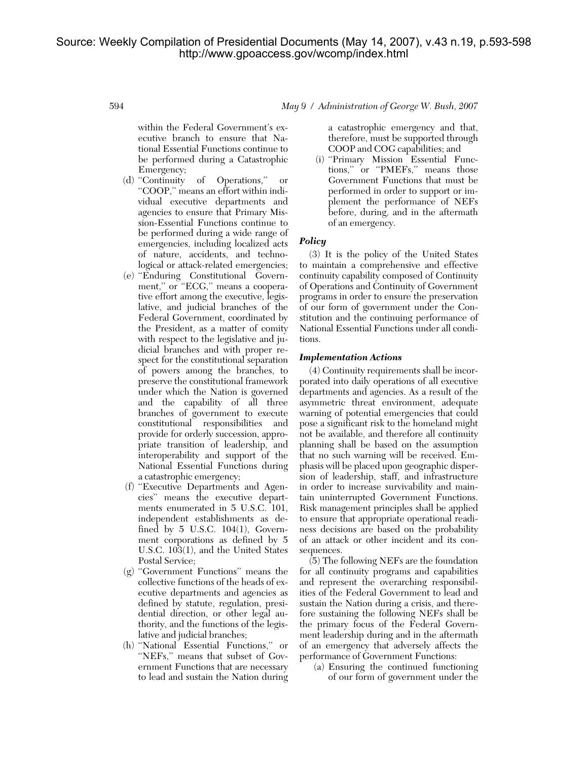within the Federal Government's executive branch to ensure that National Essential Functions continue to be performed during a Catastrophic Emergency;

- (d) ''Continuity of Operations,'' or ''COOP,'' means an effort within individual executive departments and agencies to ensure that Primary Mission-Essential Functions continue to be performed during a wide range of emergencies, including localized acts of nature, accidents, and technological or attack-related emergencies;
- (e) ''Enduring Constitutional Government," or "ECG," means a cooperative effort among the executive, legislative, and judicial branches of the Federal Government, coordinated by the President, as a matter of comity with respect to the legislative and judicial branches and with proper respect for the constitutional separation of powers among the branches, to preserve the constitutional framework under which the Nation is governed and the capability of all three branches of government to execute constitutional responsibilities and provide for orderly succession, appropriate transition of leadership, and interoperability and support of the National Essential Functions during a catastrophic emergency;
- (f) ''Executive Departments and Agencies'' means the executive departments enumerated in 5 U.S.C. 101, independent establishments as defined by  $5 \text{ U.S.C. } 104(1)$ , Government corporations as defined by 5 U.S.C. 103(1), and the United States Postal Service;
- (g) ''Government Functions'' means the collective functions of the heads of executive departments and agencies as defined by statute, regulation, presidential direction, or other legal authority, and the functions of the legislative and judicial branches;
- (h) ''National Essential Functions,'' or ''NEFs,'' means that subset of Government Functions that are necessary to lead and sustain the Nation during

594 *May 9 / Administration of George W. Bush, 2007* 

a catastrophic emergency and that, therefore, must be supported through COOP and COG capabilities; and

(i) ''Primary Mission Essential Functions,'' or ''PMEFs,'' means those Government Functions that must be performed in order to support or implement the performance of NEFs before, during, and in the aftermath of an emergency.

## *Policy*

(3) It is the policy of the United States to maintain a comprehensive and effective continuity capability composed of Continuity of Operations and Continuity of Government programs in order to ensure the preservation of our form of government under the Constitution and the continuing performance of National Essential Functions under all conditions.

### *Implementation Actions*

(4) Continuity requirements shall be incorporated into daily operations of all executive departments and agencies. As a result of the asymmetric threat environment, adequate warning of potential emergencies that could pose a significant risk to the homeland might not be available, and therefore all continuity planning shall be based on the assumption that no such warning will be received. Emphasis will be placed upon geographic dispersion of leadership, staff, and infrastructure in order to increase survivability and maintain uninterrupted Government Functions. Risk management principles shall be applied to ensure that appropriate operational readiness decisions are based on the probability of an attack or other incident and its consequences.

(5) The following NEFs are the foundation for all continuity programs and capabilities and represent the overarching responsibilities of the Federal Government to lead and sustain the Nation during a crisis, and therefore sustaining the following NEFs shall be the primary focus of the Federal Government leadership during and in the aftermath of an emergency that adversely affects the performance of Government Functions:

(a) Ensuring the continued functioning of our form of government under the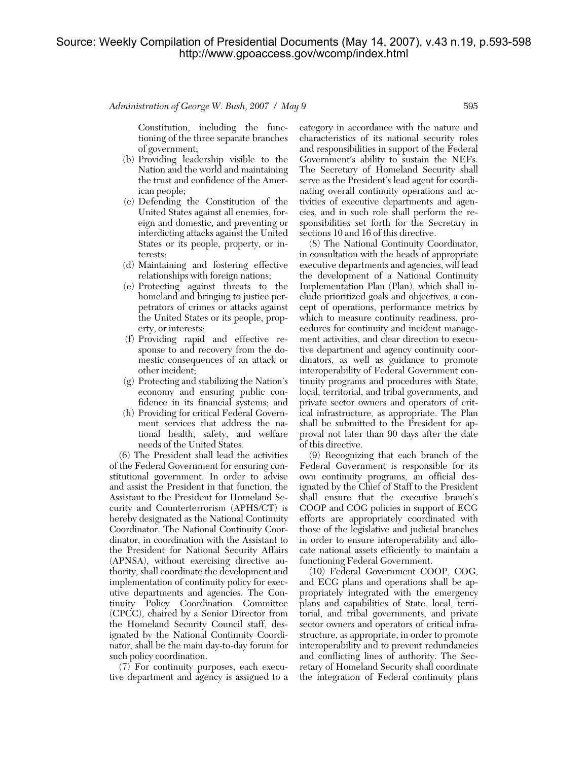*Administration of George W. Bush, 2007 / May 9* 595

Constitution, including the functioning of the three separate branches of government;

- (b) Providing leadership visible to the Nation and the world and maintaining the trust and confidence of the American people;
- (c) Defending the Constitution of the United States against all enemies, foreign and domestic, and preventing or interdicting attacks against the United States or its people, property, or interests;
- (d) Maintaining and fostering effective relationships with foreign nations;
- (e) Protecting against threats to the homeland and bringing to justice perpetrators of crimes or attacks against the United States or its people, property, or interests;
- (f) Providing rapid and effective response to and recovery from the domestic consequences of an attack or other incident;
- (g) Protecting and stabilizing the Nation's economy and ensuring public confidence in its financial systems; and
- (h) Providing for critical Federal Government services that address the national health, safety, and welfare needs of the United States.

(6) The President shall lead the activities of the Federal Government for ensuring constitutional government. In order to advise and assist the President in that function, the Assistant to the President for Homeland Security and Counterterrorism (APHS/CT) is hereby designated as the National Continuity Coordinator. The National Continuity Coordinator, in coordination with the Assistant to the President for National Security Affairs (APNSA), without exercising directive authority, shall coordinate the development and implementation of continuity policy for executive departments and agencies. The Continuity Policy Coordination Committee (CPCC), chaired by a Senior Director from the Homeland Security Council staff, designated by the National Continuity Coordinator, shall be the main day-to-day forum for such policy coordination.

(7) For continuity purposes, each executive department and agency is assigned to a category in accordance with the nature and characteristics of its national security roles and responsibilities in support of the Federal Government's ability to sustain the NEFs. The Secretary of Homeland Security shall serve as the President's lead agent for coordinating overall continuity operations and activities of executive departments and agencies, and in such role shall perform the responsibilities set forth for the Secretary in sections 10 and 16 of this directive.

(8) The National Continuity Coordinator, in consultation with the heads of appropriate executive departments and agencies, will lead the development of a National Continuity Implementation Plan (Plan), which shall include prioritized goals and objectives, a concept of operations, performance metrics by which to measure continuity readiness, procedures for continuity and incident management activities, and clear direction to executive department and agency continuity coordinators, as well as guidance to promote interoperability of Federal Government continuity programs and procedures with State, local, territorial, and tribal governments, and private sector owners and operators of critical infrastructure, as appropriate. The Plan shall be submitted to the President for approval not later than 90 days after the date of this directive.

(9) Recognizing that each branch of the Federal Government is responsible for its own continuity programs, an official designated by the Chief of Staff to the President shall ensure that the executive branch's COOP and COG policies in support of ECG efforts are appropriately coordinated with those of the legislative and judicial branches in order to ensure interoperability and allocate national assets efficiently to maintain a functioning Federal Government.

(10) Federal Government COOP, COG, and ECG plans and operations shall be appropriately integrated with the emergency plans and capabilities of State, local, territorial, and tribal governments, and private sector owners and operators of critical infrastructure, as appropriate, in order to promote interoperability and to prevent redundancies and conflicting lines of authority. The Secretary of Homeland Security shall coordinate the integration of Federal continuity plans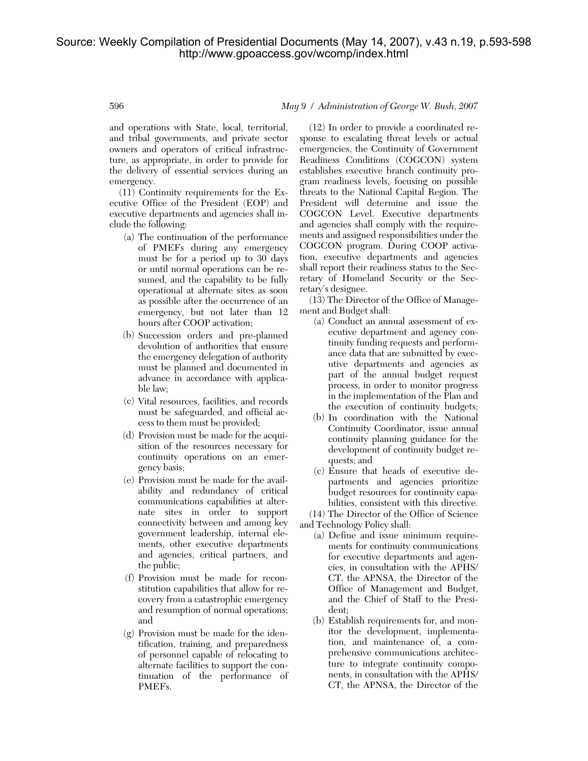and operations with State, local, territorial, and tribal governments, and private sector owners and operators of critical infrastructure, as appropriate, in order to provide for the delivery of essential services during an emergency.

(11) Continuity requirements for the Executive Office of the President (EOP) and executive departments and agencies shall include the following:

- (a) The continuation of the performance of PMEFs during any emergency must be for a period up to 30 days or until normal operations can be resumed, and the capability to be fully operational at alternate sites as soon as possible after the occurrence of an emergency, but not later than 12 hours after COOP activation;
- (b) Succession orders and pre-planned devolution of authorities that ensure the emergency delegation of authority must be planned and documented in advance in accordance with applicable law;
- (c) Vital resources, facilities, and records must be safeguarded, and official access to them must be provided;
- (d) Provision must be made for the acquisition of the resources necessary for continuity operations on an emergency basis;
- (e) Provision must be made for the availability and redundancy of critical communications capabilities at alternate sites in order to support connectivity between and among key government leadership, internal elements, other executive departments and agencies, critical partners, and the public;
- (f) Provision must be made for reconstitution capabilities that allow for recovery from a catastrophic emergency and resumption of normal operations; and
- (g) Provision must be made for the identification, training, and preparedness of personnel capable of relocating to alternate facilities to support the continuation of the performance of PMEFs.

596 *May 9 / Administration of George W. Bush, 2007* 

(12) In order to provide a coordinated response to escalating threat levels or actual emergencies, the Continuity of Government Readiness Conditions (COGCON) system establishes executive branch continuity program readiness levels, focusing on possible threats to the National Capital Region. The President will determine and issue the COGCON Level. Executive departments and agencies shall comply with the requirements and assigned responsibilities under the COGCON program. During COOP activation, executive departments and agencies shall report their readiness status to the Secretary of Homeland Security or the Secretary's designee.

(13) The Director of the Office of Management and Budget shall:

- (a) Conduct an annual assessment of executive department and agency continuity funding requests and performance data that are submitted by executive departments and agencies as part of the annual budget request process, in order to monitor progress in the implementation of the Plan and the execution of continuity budgets;
- (b) In coordination with the National Continuity Coordinator, issue annual continuity planning guidance for the development of continuity budget requests; and
- (c) Ensure that heads of executive departments and agencies prioritize budget resources for continuity capabilities, consistent with this directive.

(14) The Director of the Office of Science and Technology Policy shall:

- (a) Define and issue minimum requirements for continuity communications for executive departments and agencies, in consultation with the APHS/ CT, the APNSA, the Director of the Office of Management and Budget, and the Chief of Staff to the President;
- (b) Establish requirements for, and monitor the development, implementation, and maintenance of, a comprehensive communications architecture to integrate continuity components, in consultation with the APHS/ CT, the APNSA, the Director of the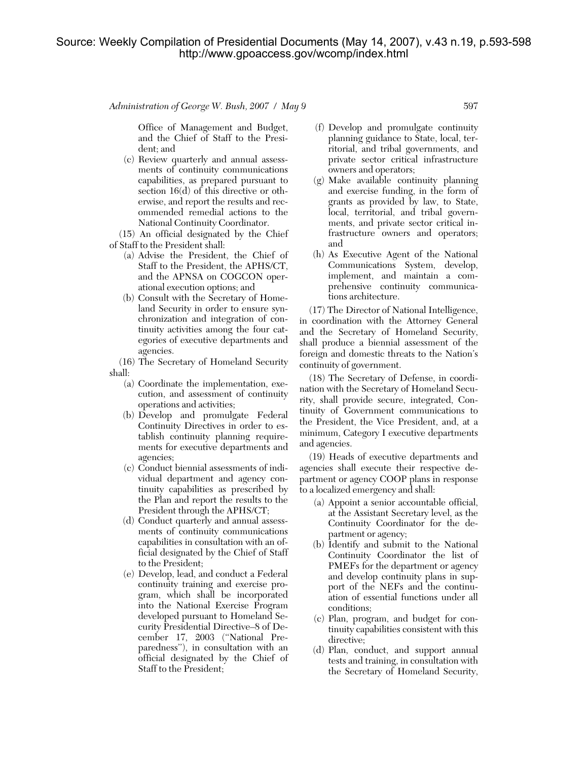*Administration of George W. Bush, 2007 / May 9* 597

Office of Management and Budget, and the Chief of Staff to the President; and

(c) Review quarterly and annual assessments of continuity communications capabilities, as prepared pursuant to section 16(d) of this directive or otherwise, and report the results and recommended remedial actions to the National Continuity Coordinator.

(15) An official designated by the Chief of Staff to the President shall:

- (a) Advise the President, the Chief of Staff to the President, the APHS/CT, and the APNSA on COGCON operational execution options; and
- (b) Consult with the Secretary of Homeland Security in order to ensure synchronization and integration of continuity activities among the four categories of executive departments and agencies.

(16) The Secretary of Homeland Security shall:

- (a) Coordinate the implementation, execution, and assessment of continuity operations and activities;
- (b) Develop and promulgate Federal Continuity Directives in order to establish continuity planning requirements for executive departments and agencies;
- (c) Conduct biennial assessments of individual department and agency continuity capabilities as prescribed by the Plan and report the results to the President through the APHS/CT;
- (d) Conduct quarterly and annual assessments of continuity communications capabilities in consultation with an official designated by the Chief of Staff to the President;
- (e) Develop, lead, and conduct a Federal continuity training and exercise program, which shall be incorporated into the National Exercise Program developed pursuant to Homeland Security Presidential Directive–8 of December 17, 2003 (''National Preparedness''), in consultation with an official designated by the Chief of Staff to the President;
- (f) Develop and promulgate continuity planning guidance to State, local, territorial, and tribal governments, and private sector critical infrastructure owners and operators;
- (g) Make available continuity planning and exercise funding, in the form of grants as provided by law, to State, local, territorial, and tribal governments, and private sector critical infrastructure owners and operators; and
- (h) As Executive Agent of the National Communications System, develop, implement, and maintain a comprehensive continuity communications architecture.

(17) The Director of National Intelligence, in coordination with the Attorney General and the Secretary of Homeland Security, shall produce a biennial assessment of the foreign and domestic threats to the Nation's continuity of government.

(18) The Secretary of Defense, in coordination with the Secretary of Homeland Security, shall provide secure, integrated, Continuity of Government communications to the President, the Vice President, and, at a minimum, Category I executive departments and agencies.

(19) Heads of executive departments and agencies shall execute their respective department or agency COOP plans in response to a localized emergency and shall:

- (a) Appoint a senior accountable official, at the Assistant Secretary level, as the Continuity Coordinator for the department or agency;
- (b) Identify and submit to the National Continuity Coordinator the list of PMEFs for the department or agency and develop continuity plans in support of the NEFs and the continuation of essential functions under all conditions;
- (c) Plan, program, and budget for continuity capabilities consistent with this directive;
- (d) Plan, conduct, and support annual tests and training, in consultation with the Secretary of Homeland Security,